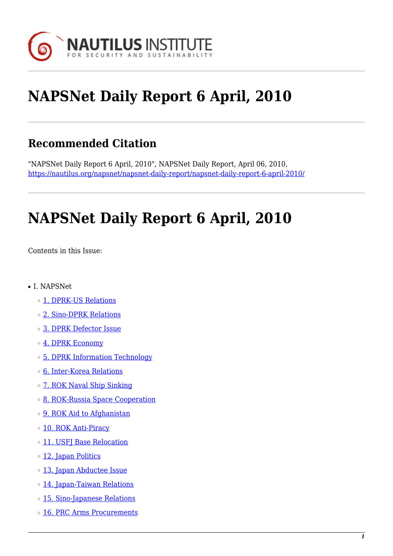

# **NAPSNet Daily Report 6 April, 2010**

## **Recommended Citation**

"NAPSNet Daily Report 6 April, 2010", NAPSNet Daily Report, April 06, 2010, <https://nautilus.org/napsnet/napsnet-daily-report/napsnet-daily-report-6-april-2010/>

# **NAPSNet Daily Report 6 April, 2010**

<span id="page-0-0"></span>Contents in this Issue:

- I. NAPSNet
	- ❍ [1. DPRK-US Relations](#page-1-0)
	- ❍ [2. Sino-DPRK Relations](#page-1-1)
	- ❍ [3. DPRK Defector Issue](#page-2-0)
	- o [4. DPRK Economy](#page-2-1)
	- ❍ [5. DPRK Information Technology](#page-3-0)
	- ❍ [6. Inter-Korea Relations](#page-3-1)
	- ❍ [7. ROK Naval Ship Sinking](#page-3-2)
	- ❍ [8. ROK-Russia Space Cooperation](#page-4-0)
	- o **[9. ROK Aid to Afghanistan](#page-4-1)**
	- o [10. ROK Anti-Piracy](#page-4-2)
	- o [11. USFJ Base Relocation](#page-4-3)
	- ❍ [12. Japan Politics](#page-5-0)
	- o [13. Japan Abductee Issue](#page-5-1)
	- ❍ [14. Japan-Taiwan Relations](#page-5-2)
	- ❍ [15. Sino-Japanese Relations](#page-6-0)
	- o [16. PRC Arms Procurements](#page-6-1)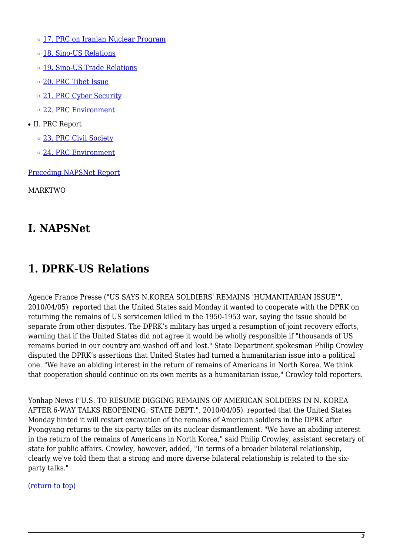- ❍ [17. PRC on Iranian Nuclear Program](#page-6-2)
- ❍ [18. Sino-US Relations](#page-7-0)
- o [19. Sino-US Trade Relations](#page-7-1)
- ❍ [20. PRC Tibet Issue](#page-7-2)
- o [21. PRC Cyber Security](#page-8-0)
- ❍ [22. PRC Environment](#page-8-1)
- II. PRC Report
	- o [23. PRC Civil Society](#page-8-2)
	- ❍ [24. PRC Environment](#page-9-0)

[Preceding NAPSNet Report](https://nautilus.org/mailing-lists/napsnet/dr/2010-2/napsnet-daily-report-5-april-2010/)

MARKTWO

## **I. NAPSNet**

## <span id="page-1-0"></span>**1. DPRK-US Relations**

Agence France Presse ("US SAYS N.KOREA SOLDIERS' REMAINS 'HUMANITARIAN ISSUE'", 2010/04/05) reported that the United States said Monday it wanted to cooperate with the DPRK on returning the remains of US servicemen killed in the 1950-1953 war, saying the issue should be separate from other disputes. The DPRK's military has urged a resumption of joint recovery efforts, warning that if the United States did not agree it would be wholly responsible if "thousands of US remains buried in our country are washed off and lost." State Department spokesman Philip Crowley disputed the DPRK's assertions that United States had turned a humanitarian issue into a political one. "We have an abiding interest in the return of remains of Americans in North Korea. We think that cooperation should continue on its own merits as a humanitarian issue," Crowley told reporters.

Yonhap News ("U.S. TO RESUME DIGGING REMAINS OF AMERICAN SOLDIERS IN N. KOREA AFTER 6-WAY TALKS REOPENING: STATE DEPT.", 2010/04/05) reported that the United States Monday hinted it will restart excavation of the remains of American soldiers in the DPRK after Pyongyang returns to the six-party talks on its nuclear dismantlement. "We have an abiding interest in the return of the remains of Americans in North Korea," said Philip Crowley, assistant secretary of state for public affairs. Crowley, however, added, "In terms of a broader bilateral relationship, clearly we've told them that a strong and more diverse bilateral relationship is related to the sixparty talks."

### <span id="page-1-1"></span>[\(return to top\)](#page-0-0)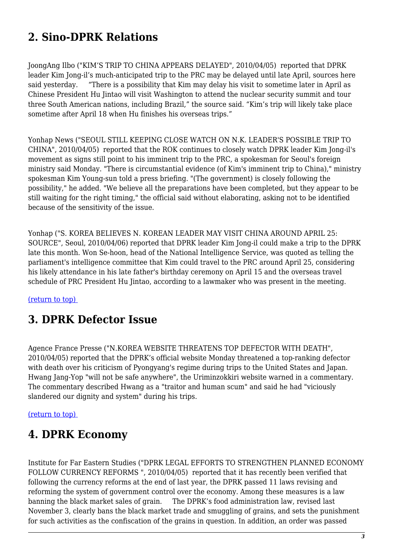## **2. Sino-DPRK Relations**

JoongAng Ilbo ("KIM'S TRIP TO CHINA APPEARS DELAYED", 2010/04/05) reported that DPRK leader Kim Jong-il's much-anticipated trip to the PRC may be delayed until late April, sources here said yesterday. "There is a possibility that Kim may delay his visit to sometime later in April as Chinese President Hu Jintao will visit Washington to attend the nuclear security summit and tour three South American nations, including Brazil," the source said. "Kim's trip will likely take place sometime after April 18 when Hu finishes his overseas trips."

Yonhap News ("SEOUL STILL KEEPING CLOSE WATCH ON N.K. LEADER'S POSSIBLE TRIP TO CHINA", 2010/04/05) reported that the ROK continues to closely watch DPRK leader Kim Jong-il's movement as signs still point to his imminent trip to the PRC, a spokesman for Seoul's foreign ministry said Monday. "There is circumstantial evidence (of Kim's imminent trip to China)," ministry spokesman Kim Young-sun told a press briefing. "(The government) is closely following the possibility," he added. "We believe all the preparations have been completed, but they appear to be still waiting for the right timing," the official said without elaborating, asking not to be identified because of the sensitivity of the issue.

Yonhap ("S. KOREA BELIEVES N. KOREAN LEADER MAY VISIT CHINA AROUND APRIL 25: SOURCE", Seoul, 2010/04/06) reported that DPRK leader Kim Jong-il could make a trip to the DPRK late this month. Won Se-hoon, head of the National Intelligence Service, was quoted as telling the parliament's intelligence committee that Kim could travel to the PRC around April 25, considering his likely attendance in his late father's birthday ceremony on April 15 and the overseas travel schedule of PRC President Hu Jintao, according to a lawmaker who was present in the meeting.

<span id="page-2-0"></span>[\(return to top\)](#page-0-0) 

## **3. DPRK Defector Issue**

Agence France Presse ("N.KOREA WEBSITE THREATENS TOP DEFECTOR WITH DEATH", 2010/04/05) reported that the DPRK's official website Monday threatened a top-ranking defector with death over his criticism of Pyongyang's regime during trips to the United States and Japan. Hwang Jang-Yop "will not be safe anywhere", the Uriminzokkiri website warned in a commentary. The commentary described Hwang as a "traitor and human scum" and said he had "viciously slandered our dignity and system" during his trips.

### <span id="page-2-1"></span>[\(return to top\)](#page-0-0)

### **4. DPRK Economy**

Institute for Far Eastern Studies ("DPRK LEGAL EFFORTS TO STRENGTHEN PLANNED ECONOMY FOLLOW CURRENCY REFORMS ", 2010/04/05) reported that it has recently been verified that following the currency reforms at the end of last year, the DPRK passed 11 laws revising and reforming the system of government control over the economy. Among these measures is a law banning the black market sales of grain. The DPRK's food administration law, revised last November 3, clearly bans the black market trade and smuggling of grains, and sets the punishment for such activities as the confiscation of the grains in question. In addition, an order was passed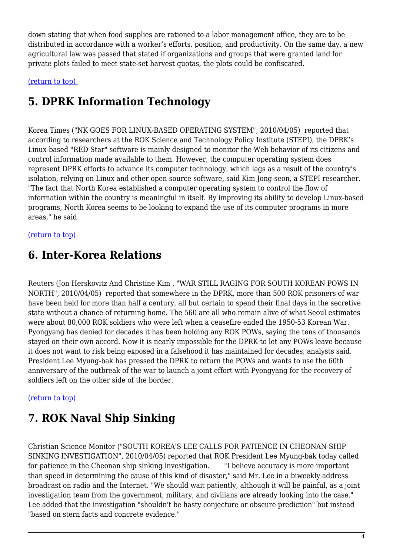down stating that when food supplies are rationed to a labor management office, they are to be distributed in accordance with a worker's efforts, position, and productivity. On the same day, a new agricultural law was passed that stated if organizations and groups that were granted land for private plots failed to meet state-set harvest quotas, the plots could be confiscated.

<span id="page-3-0"></span>[\(return to top\)](#page-0-0) 

## **5. DPRK Information Technology**

Korea Times ("NK GOES FOR LINUX-BASED OPERATING SYSTEM", 2010/04/05) reported that according to researchers at the ROK Science and Technology Policy Institute (STEPI), the DPRK's Linux-based "RED Star" software is mainly designed to monitor the Web behavior of its citizens and control information made available to them. However, the computer operating system does represent DPRK efforts to advance its computer technology, which lags as a result of the country's isolation, relying on Linux and other open-source software, said Kim Jong-seon, a STEPI researcher. "The fact that North Korea established a computer operating system to control the flow of information within the country is meaningful in itself. By improving its ability to develop Linux-based programs, North Korea seems to be looking to expand the use of its computer programs in more areas," he said.

### <span id="page-3-1"></span>[\(return to top\)](#page-0-0)

## **6. Inter-Korea Relations**

Reuters (Jon Herskovitz And Christine Kim , "WAR STILL RAGING FOR SOUTH KOREAN POWS IN NORTH", 2010/04/05) reported that somewhere in the DPRK, more than 500 ROK prisoners of war have been held for more than half a century, all but certain to spend their final days in the secretive state without a chance of returning home. The 560 are all who remain alive of what Seoul estimates were about 80,000 ROK soldiers who were left when a ceasefire ended the 1950-53 Korean War. Pyongyang has denied for decades it has been holding any ROK POWs, saying the tens of thousands stayed on their own accord. Now it is nearly impossible for the DPRK to let any POWs leave because it does not want to risk being exposed in a falsehood it has maintained for decades, analysts said. President Lee Myung-bak has pressed the DPRK to return the POWs and wants to use the 60th anniversary of the outbreak of the war to launch a joint effort with Pyongyang for the recovery of soldiers left on the other side of the border.

### <span id="page-3-2"></span>[\(return to top\)](#page-0-0)

## **7. ROK Naval Ship Sinking**

Christian Science Monitor ("SOUTH KOREA'S LEE CALLS FOR PATIENCE IN CHEONAN SHIP SINKING INVESTIGATION", 2010/04/05) reported that ROK President Lee Myung-bak today called for patience in the Cheonan ship sinking investigation. "I believe accuracy is more important than speed in determining the cause of this kind of disaster," said Mr. Lee in a biweekly address broadcast on radio and the Internet. "We should wait patiently, although it will be painful, as a joint investigation team from the government, military, and civilians are already looking into the case." Lee added that the investigation "shouldn't be hasty conjecture or obscure prediction" but instead "based on stern facts and concrete evidence."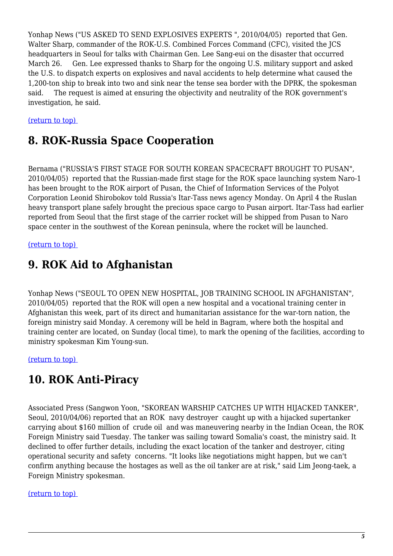Yonhap News ("US ASKED TO SEND EXPLOSIVES EXPERTS ", 2010/04/05) reported that Gen. Walter Sharp, commander of the ROK-U.S. Combined Forces Command (CFC), visited the JCS headquarters in Seoul for talks with Chairman Gen. Lee Sang-eui on the disaster that occurred March 26. Gen. Lee expressed thanks to Sharp for the ongoing U.S. military support and asked the U.S. to dispatch experts on explosives and naval accidents to help determine what caused the 1,200-ton ship to break into two and sink near the tense sea border with the DPRK, the spokesman said. The request is aimed at ensuring the objectivity and neutrality of the ROK government's investigation, he said.

### <span id="page-4-0"></span>[\(return to top\)](#page-0-0)

## **8. ROK-Russia Space Cooperation**

Bernama ("RUSSIA'S FIRST STAGE FOR SOUTH KOREAN SPACECRAFT BROUGHT TO PUSAN", 2010/04/05) reported that the Russian-made first stage for the ROK space launching system Naro-1 has been brought to the ROK airport of Pusan, the Chief of Information Services of the Polyot Corporation Leonid Shirobokov told Russia's Itar-Tass news agency Monday. On April 4 the Ruslan heavy transport plane safely brought the precious space cargo to Pusan airport. Itar-Tass had earlier reported from Seoul that the first stage of the carrier rocket will be shipped from Pusan to Naro space center in the southwest of the Korean peninsula, where the rocket will be launched.

### <span id="page-4-1"></span>[\(return to top\)](#page-0-0)

### **9. ROK Aid to Afghanistan**

Yonhap News ("SEOUL TO OPEN NEW HOSPITAL, JOB TRAINING SCHOOL IN AFGHANISTAN", 2010/04/05) reported that the ROK will open a new hospital and a vocational training center in Afghanistan this week, part of its direct and humanitarian assistance for the war-torn nation, the foreign ministry said Monday. A ceremony will be held in Bagram, where both the hospital and training center are located, on Sunday (local time), to mark the opening of the facilities, according to ministry spokesman Kim Young-sun.

#### <span id="page-4-2"></span>[\(return to top\)](#page-0-0)

### **10. ROK Anti-Piracy**

Associated Press (Sangwon Yoon, "SKOREAN WARSHIP CATCHES UP WITH HIJACKED TANKER", Seoul, 2010/04/06) reported that an ROK navy destroyer caught up with a hijacked supertanker carrying about \$160 million of crude oil and was maneuvering nearby in the Indian Ocean, the ROK Foreign Ministry said Tuesday. The tanker was sailing toward Somalia's coast, the ministry said. It declined to offer further details, including the exact location of the tanker and destroyer, citing operational security and safety concerns. "It looks like negotiations might happen, but we can't confirm anything because the hostages as well as the oil tanker are at risk," said Lim Jeong-taek, a Foreign Ministry spokesman.

#### <span id="page-4-3"></span>[\(return to top\)](#page-0-0)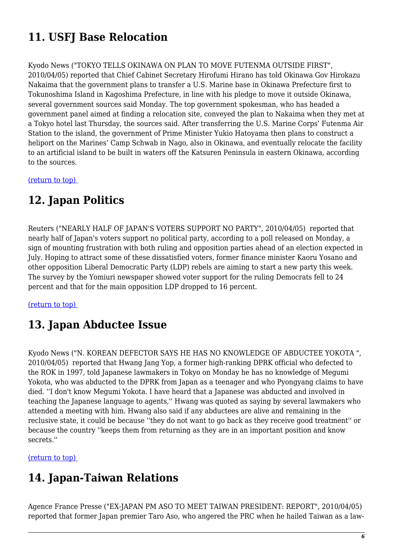## **11. USFJ Base Relocation**

Kyodo News ("TOKYO TELLS OKINAWA ON PLAN TO MOVE FUTENMA OUTSIDE FIRST", 2010/04/05) reported that Chief Cabinet Secretary Hirofumi Hirano has told Okinawa Gov Hirokazu Nakaima that the government plans to transfer a U.S. Marine base in Okinawa Prefecture first to Tokunoshima Island in Kagoshima Prefecture, in line with his pledge to move it outside Okinawa, several government sources said Monday. The top government spokesman, who has headed a government panel aimed at finding a relocation site, conveyed the plan to Nakaima when they met at a Tokyo hotel last Thursday, the sources said. After transferring the U.S. Marine Corps' Futenma Air Station to the island, the government of Prime Minister Yukio Hatoyama then plans to construct a heliport on the Marines' Camp Schwab in Nago, also in Okinawa, and eventually relocate the facility to an artificial island to be built in waters off the Katsuren Peninsula in eastern Okinawa, according to the sources.

<span id="page-5-0"></span>[\(return to top\)](#page-0-0) 

## **12. Japan Politics**

Reuters ("NEARLY HALF OF JAPAN'S VOTERS SUPPORT NO PARTY", 2010/04/05) reported that nearly half of Japan's voters support no political party, according to a poll released on Monday, a sign of mounting frustration with both ruling and opposition parties ahead of an election expected in July. Hoping to attract some of these dissatisfied voters, former finance minister Kaoru Yosano and other opposition Liberal Democratic Party (LDP) rebels are aiming to start a new party this week. The survey by the Yomiuri newspaper showed voter support for the ruling Democrats fell to 24 percent and that for the main opposition LDP dropped to 16 percent.

### <span id="page-5-1"></span>[\(return to top\)](#page-0-0)

## **13. Japan Abductee Issue**

Kyodo News ("N. KOREAN DEFECTOR SAYS HE HAS NO KNOWLEDGE OF ABDUCTEE YOKOTA ", 2010/04/05) reported that Hwang Jang Yop, a former high-ranking DPRK official who defected to the ROK in 1997, told Japanese lawmakers in Tokyo on Monday he has no knowledge of Megumi Yokota, who was abducted to the DPRK from Japan as a teenager and who Pyongyang claims to have died. ''I don't know Megumi Yokota. I have heard that a Japanese was abducted and involved in teaching the Japanese language to agents,'' Hwang was quoted as saying by several lawmakers who attended a meeting with him. Hwang also said if any abductees are alive and remaining in the reclusive state, it could be because ''they do not want to go back as they receive good treatment'' or because the country ''keeps them from returning as they are in an important position and know secrets.''

<span id="page-5-2"></span>[\(return to top\)](#page-0-0) 

## **14. Japan-Taiwan Relations**

Agence France Presse ("EX-JAPAN PM ASO TO MEET TAIWAN PRESIDENT: REPORT", 2010/04/05) reported that former Japan premier Taro Aso, who angered the PRC when he hailed Taiwan as a law-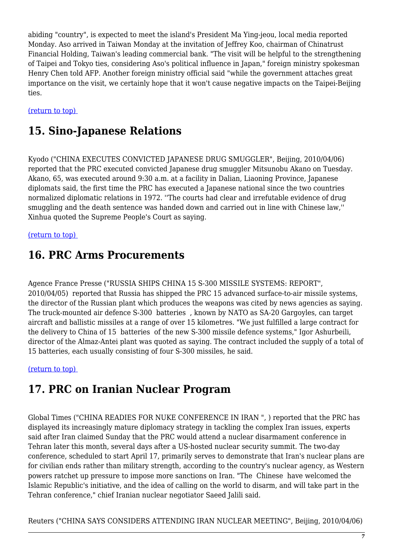abiding "country", is expected to meet the island's President Ma Ying-jeou, local media reported Monday. Aso arrived in Taiwan Monday at the invitation of Jeffrey Koo, chairman of Chinatrust Financial Holding, Taiwan's leading commercial bank. "The visit will be helpful to the strengthening of Taipei and Tokyo ties, considering Aso's political influence in Japan," foreign ministry spokesman Henry Chen told AFP. Another foreign ministry official said "while the government attaches great importance on the visit, we certainly hope that it won't cause negative impacts on the Taipei-Beijing ties.

<span id="page-6-0"></span>[\(return to top\)](#page-0-0) 

## **15. Sino-Japanese Relations**

Kyodo ("CHINA EXECUTES CONVICTED JAPANESE DRUG SMUGGLER", Beijing, 2010/04/06) reported that the PRC executed convicted Japanese drug smuggler Mitsunobu Akano on Tuesday. Akano, 65, was executed around 9:30 a.m. at a facility in Dalian, Liaoning Province, Japanese diplomats said, the first time the PRC has executed a Japanese national since the two countries normalized diplomatic relations in 1972. ''The courts had clear and irrefutable evidence of drug smuggling and the death sentence was handed down and carried out in line with Chinese law,'' Xinhua quoted the Supreme People's Court as saying.

### <span id="page-6-1"></span>[\(return to top\)](#page-0-0)

## **16. PRC Arms Procurements**

Agence France Presse ("RUSSIA SHIPS CHINA 15 S-300 MISSILE SYSTEMS: REPORT", 2010/04/05) reported that Russia has shipped the PRC 15 advanced surface-to-air missile systems, the director of the Russian plant which produces the weapons was cited by news agencies as saying. The truck-mounted air defence S-300 batteries , known by NATO as SA-20 Gargoyles, can target aircraft and ballistic missiles at a range of over 15 kilometres. "We just fulfilled a large contract for the delivery to China of 15 batteries of the new S-300 missile defence systems," Igor Ashurbeili, director of the Almaz-Antei plant was quoted as saying. The contract included the supply of a total of 15 batteries, each usually consisting of four S-300 missiles, he said.

<span id="page-6-2"></span>[\(return to top\)](#page-0-0) 

## **17. PRC on Iranian Nuclear Program**

Global Times ("CHINA READIES FOR NUKE CONFERENCE IN IRAN ", ) reported that the PRC has displayed its increasingly mature diplomacy strategy in tackling the complex Iran issues, experts said after Iran claimed Sunday that the PRC would attend a nuclear disarmament conference in Tehran later this month, several days after a US-hosted nuclear security summit. The two-day conference, scheduled to start April 17, primarily serves to demonstrate that Iran's nuclear plans are for civilian ends rather than military strength, according to the country's nuclear agency, as Western powers ratchet up pressure to impose more sanctions on Iran. "The Chinese have welcomed the Islamic Republic's initiative, and the idea of calling on the world to disarm, and will take part in the Tehran conference," chief Iranian nuclear negotiator Saeed Jalili said.

Reuters ("CHINA SAYS CONSIDERS ATTENDING IRAN NUCLEAR MEETING", Beijing, 2010/04/06)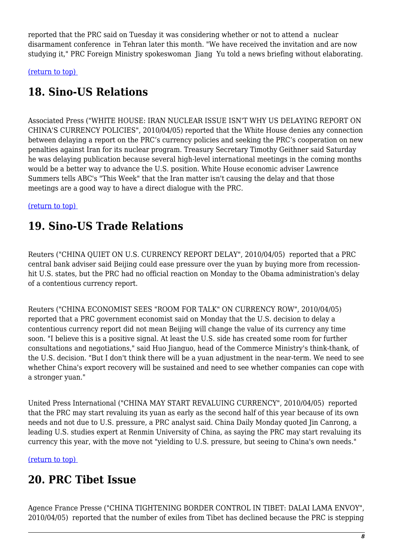reported that the PRC said on Tuesday it was considering whether or not to attend a nuclear disarmament conference in Tehran later this month. "We have received the invitation and are now studying it," PRC Foreign Ministry spokeswoman Jiang Yu told a news briefing without elaborating.

<span id="page-7-0"></span>[\(return to top\)](#page-0-0) 

## **18. Sino-US Relations**

Associated Press ("WHITE HOUSE: IRAN NUCLEAR ISSUE ISN'T WHY US DELAYING REPORT ON CHINA'S CURRENCY POLICIES", 2010/04/05) reported that the White House denies any connection between delaying a report on the PRC's currency policies and seeking the PRC's cooperation on new penalties against Iran for its nuclear program. Treasury Secretary Timothy Geithner said Saturday he was delaying publication because several high-level international meetings in the coming months would be a better way to advance the U.S. position. White House economic adviser Lawrence Summers tells ABC's "This Week" that the Iran matter isn't causing the delay and that those meetings are a good way to have a direct dialogue with the PRC.

### <span id="page-7-1"></span>[\(return to top\)](#page-0-0)

## **19. Sino-US Trade Relations**

Reuters ("CHINA QUIET ON U.S. CURRENCY REPORT DELAY", 2010/04/05) reported that a PRC central bank adviser said Beijing could ease pressure over the yuan by buying more from recessionhit U.S. states, but the PRC had no official reaction on Monday to the Obama administration's delay of a contentious currency report.

Reuters ("CHINA ECONOMIST SEES "ROOM FOR TALK" ON CURRENCY ROW", 2010/04/05) reported that a PRC government economist said on Monday that the U.S. decision to delay a contentious currency report did not mean Beijing will change the value of its currency any time soon. "I believe this is a positive signal. At least the U.S. side has created some room for further consultations and negotiations," said Huo Jianguo, head of the Commerce Ministry's think-thank, of the U.S. decision. "But I don't think there will be a yuan adjustment in the near-term. We need to see whether China's export recovery will be sustained and need to see whether companies can cope with a stronger yuan."

United Press International ("CHINA MAY START REVALUING CURRENCY", 2010/04/05) reported that the PRC may start revaluing its yuan as early as the second half of this year because of its own needs and not due to U.S. pressure, a PRC analyst said. China Daily Monday quoted Jin Canrong, a leading U.S. studies expert at Renmin University of China, as saying the PRC may start revaluing its currency this year, with the move not "yielding to U.S. pressure, but seeing to China's own needs."

<span id="page-7-2"></span>[\(return to top\)](#page-0-0) 

### **20. PRC Tibet Issue**

Agence France Presse ("CHINA TIGHTENING BORDER CONTROL IN TIBET: DALAI LAMA ENVOY", 2010/04/05) reported that the number of exiles from Tibet has declined because the PRC is stepping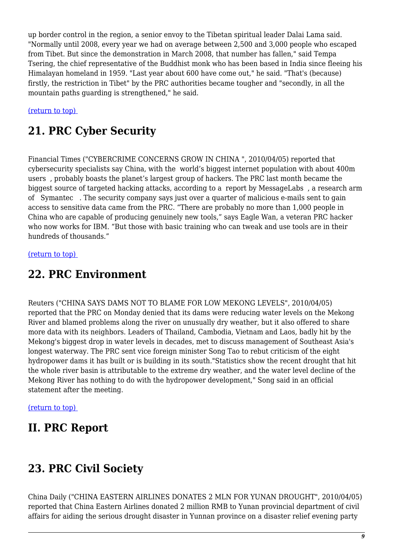up border control in the region, a senior envoy to the Tibetan spiritual leader Dalai Lama said. "Normally until 2008, every year we had on average between 2,500 and 3,000 people who escaped from Tibet. But since the demonstration in March 2008, that number has fallen," said Tempa Tsering, the chief representative of the Buddhist monk who has been based in India since fleeing his Himalayan homeland in 1959. "Last year about 600 have come out," he said. "That's (because) firstly, the restriction in Tibet" by the PRC authorities became tougher and "secondly, in all the mountain paths guarding is strengthened," he said.

<span id="page-8-0"></span>[\(return to top\)](#page-0-0) 

## **21. PRC Cyber Security**

Financial Times ("CYBERCRIME CONCERNS GROW IN CHINA ", 2010/04/05) reported that cybersecurity specialists say China, with the world's biggest internet population with about 400m users , probably boasts the planet's largest group of hackers. The PRC last month became the biggest source of targeted hacking attacks, according to a report by MessageLabs , a research arm of Symantec . The security company says just over a quarter of malicious e-mails sent to gain access to sensitive data came from the PRC. "There are probably no more than 1,000 people in China who are capable of producing genuinely new tools," says Eagle Wan, a veteran PRC hacker who now works for IBM. "But those with basic training who can tweak and use tools are in their hundreds of thousands."

### <span id="page-8-1"></span>[\(return to top\)](#page-0-0)

### **22. PRC Environment**

Reuters ("CHINA SAYS DAMS NOT TO BLAME FOR LOW MEKONG LEVELS", 2010/04/05) reported that the PRC on Monday denied that its dams were reducing water levels on the Mekong River and blamed problems along the river on unusually dry weather, but it also offered to share more data with its neighbors. Leaders of Thailand, Cambodia, Vietnam and Laos, badly hit by the Mekong's biggest drop in water levels in decades, met to discuss management of Southeast Asia's longest waterway. The PRC sent vice foreign minister Song Tao to rebut criticism of the eight hydropower dams it has built or is building in its south."Statistics show the recent drought that hit the whole river basin is attributable to the extreme dry weather, and the water level decline of the Mekong River has nothing to do with the hydropower development," Song said in an official statement after the meeting.

[\(return to top\)](#page-0-0) 

## **II. PRC Report**

## <span id="page-8-2"></span>**23. PRC Civil Society**

China Daily ("CHINA EASTERN AIRLINES DONATES 2 MLN FOR YUNAN DROUGHT", 2010/04/05) reported that China Eastern Airlines donated 2 million RMB to Yunan provincial department of civil affairs for aiding the serious drought disaster in Yunnan province on a disaster relief evening party